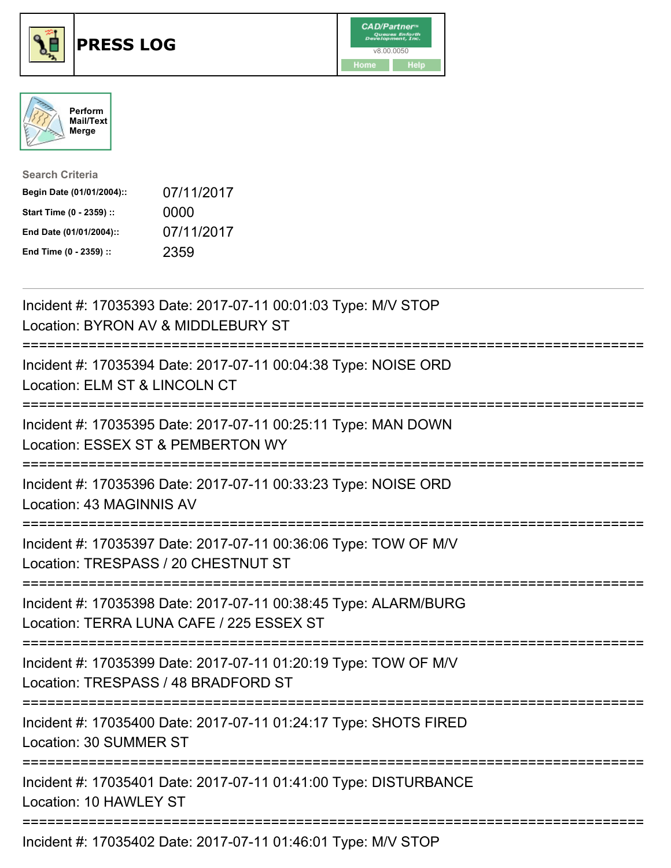





| <b>Search Criteria</b>    |            |
|---------------------------|------------|
| Begin Date (01/01/2004):: | 07/11/2017 |
| Start Time (0 - 2359) ::  | 0000       |
| End Date (01/01/2004)::   | 07/11/2017 |
| End Time (0 - 2359) ::    | 2359       |

| Incident #: 17035393 Date: 2017-07-11 00:01:03 Type: M/V STOP<br>Location: BYRON AV & MIDDLEBURY ST                                              |
|--------------------------------------------------------------------------------------------------------------------------------------------------|
| Incident #: 17035394 Date: 2017-07-11 00:04:38 Type: NOISE ORD<br>Location: ELM ST & LINCOLN CT                                                  |
| Incident #: 17035395 Date: 2017-07-11 00:25:11 Type: MAN DOWN<br>Location: ESSEX ST & PEMBERTON WY                                               |
| Incident #: 17035396 Date: 2017-07-11 00:33:23 Type: NOISE ORD<br>Location: 43 MAGINNIS AV                                                       |
| Incident #: 17035397 Date: 2017-07-11 00:36:06 Type: TOW OF M/V<br>Location: TRESPASS / 20 CHESTNUT ST<br>;==========================            |
| Incident #: 17035398 Date: 2017-07-11 00:38:45 Type: ALARM/BURG<br>Location: TERRA LUNA CAFE / 225 ESSEX ST<br>;================================ |
| Incident #: 17035399 Date: 2017-07-11 01:20:19 Type: TOW OF M/V<br>Location: TRESPASS / 48 BRADFORD ST<br>=============================          |
| Incident #: 17035400 Date: 2017-07-11 01:24:17 Type: SHOTS FIRED<br>Location: 30 SUMMER ST                                                       |
| ==================<br>Incident #: 17035401 Date: 2017-07-11 01:41:00 Type: DISTURBANCE<br>Location: 10 HAWLEY ST                                 |
| Incident #: 17035402 Date: 2017-07-11 01:46:01 Type: M/V STOP                                                                                    |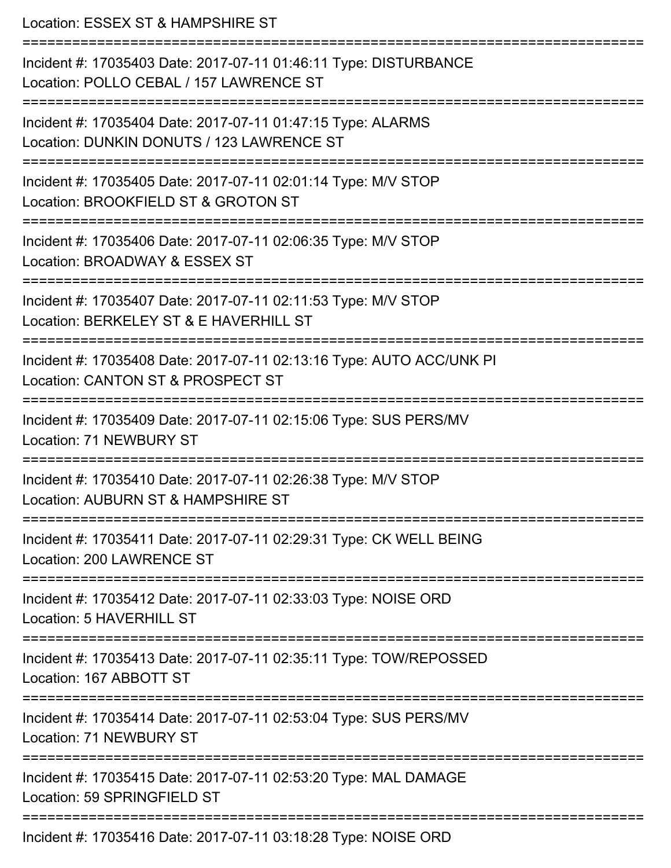Location: ESSEX ST & HAMPSHIRE ST =========================================================================== Incident #: 17035403 Date: 2017-07-11 01:46:11 Type: DISTURBANCE Location: POLLO CEBAL / 157 LAWRENCE ST =========================================================================== Incident #: 17035404 Date: 2017-07-11 01:47:15 Type: ALARMS Location: DUNKIN DONUTS / 123 LAWRENCE ST =========================================================================== Incident #: 17035405 Date: 2017-07-11 02:01:14 Type: M/V STOP Location: BROOKFIELD ST & GROTON ST =========================================================================== Incident #: 17035406 Date: 2017-07-11 02:06:35 Type: M/V STOP Location: BROADWAY & ESSEX ST =========================================================================== Incident #: 17035407 Date: 2017-07-11 02:11:53 Type: M/V STOP Location: BERKELEY ST & E HAVERHILL ST =========================================================================== Incident #: 17035408 Date: 2017-07-11 02:13:16 Type: AUTO ACC/UNK PI Location: CANTON ST & PROSPECT ST =========================================================================== Incident #: 17035409 Date: 2017-07-11 02:15:06 Type: SUS PERS/MV Location: 71 NEWBURY ST =========================================================================== Incident #: 17035410 Date: 2017-07-11 02:26:38 Type: M/V STOP Location: AUBURN ST & HAMPSHIRE ST =========================================================================== Incident #: 17035411 Date: 2017-07-11 02:29:31 Type: CK WELL BEING Location: 200 LAWRENCE ST =========================================================================== Incident #: 17035412 Date: 2017-07-11 02:33:03 Type: NOISE ORD Location: 5 HAVERHILL ST =========================================================================== Incident #: 17035413 Date: 2017-07-11 02:35:11 Type: TOW/REPOSSED Location: 167 ABBOTT ST =========================================================================== Incident #: 17035414 Date: 2017-07-11 02:53:04 Type: SUS PERS/MV Location: 71 NEWBURY ST =========================================================================== Incident #: 17035415 Date: 2017-07-11 02:53:20 Type: MAL DAMAGE Location: 59 SPRINGFIFLD ST =========================================================================== Incident #: 17035416 Date: 2017-07-11 03:18:28 Type: NOISE ORD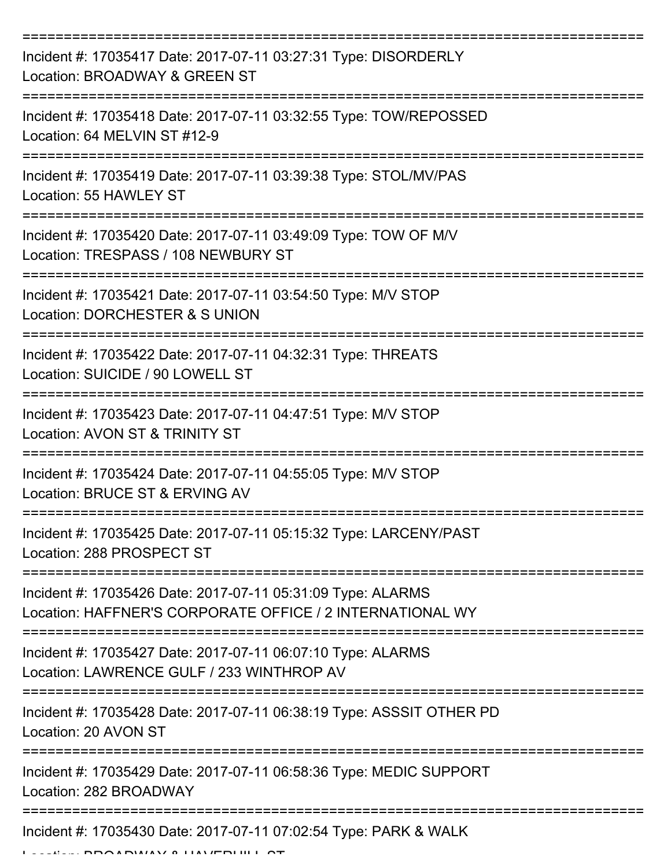| Incident #: 17035417 Date: 2017-07-11 03:27:31 Type: DISORDERLY<br>Location: BROADWAY & GREEN ST                         |
|--------------------------------------------------------------------------------------------------------------------------|
| Incident #: 17035418 Date: 2017-07-11 03:32:55 Type: TOW/REPOSSED<br>Location: 64 MELVIN ST #12-9                        |
| Incident #: 17035419 Date: 2017-07-11 03:39:38 Type: STOL/MV/PAS<br>Location: 55 HAWLEY ST                               |
| Incident #: 17035420 Date: 2017-07-11 03:49:09 Type: TOW OF M/V<br>Location: TRESPASS / 108 NEWBURY ST                   |
| Incident #: 17035421 Date: 2017-07-11 03:54:50 Type: M/V STOP<br>Location: DORCHESTER & S UNION<br>----------------      |
| Incident #: 17035422 Date: 2017-07-11 04:32:31 Type: THREATS<br>Location: SUICIDE / 90 LOWELL ST                         |
| Incident #: 17035423 Date: 2017-07-11 04:47:51 Type: M/V STOP<br>Location: AVON ST & TRINITY ST                          |
| Incident #: 17035424 Date: 2017-07-11 04:55:05 Type: M/V STOP<br>Location: BRUCE ST & ERVING AV                          |
| Incident #: 17035425 Date: 2017-07-11 05:15:32 Type: LARCENY/PAST<br>Location: 288 PROSPECT ST                           |
| Incident #: 17035426 Date: 2017-07-11 05:31:09 Type: ALARMS<br>Location: HAFFNER'S CORPORATE OFFICE / 2 INTERNATIONAL WY |
| Incident #: 17035427 Date: 2017-07-11 06:07:10 Type: ALARMS<br>Location: LAWRENCE GULF / 233 WINTHROP AV                 |
| Incident #: 17035428 Date: 2017-07-11 06:38:19 Type: ASSSIT OTHER PD<br>Location: 20 AVON ST                             |
| Incident #: 17035429 Date: 2017-07-11 06:58:36 Type: MEDIC SUPPORT<br>Location: 282 BROADWAY                             |
| Incident #: 17035430 Date: 2017-07-11 07:02:54 Type: PARK & WALK                                                         |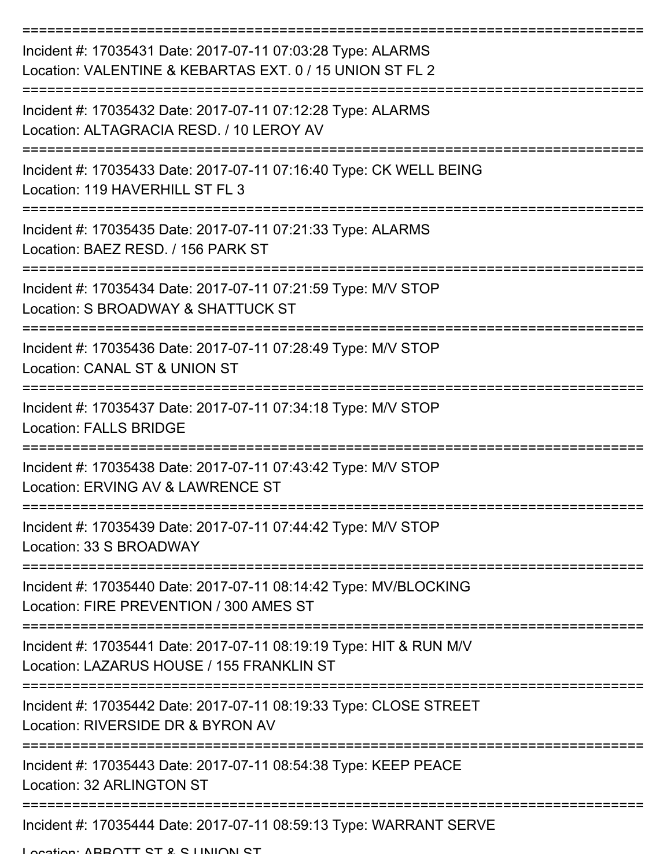| Incident #: 17035431 Date: 2017-07-11 07:03:28 Type: ALARMS<br>Location: VALENTINE & KEBARTAS EXT. 0 / 15 UNION ST FL 2 |
|-------------------------------------------------------------------------------------------------------------------------|
| Incident #: 17035432 Date: 2017-07-11 07:12:28 Type: ALARMS<br>Location: ALTAGRACIA RESD. / 10 LEROY AV                 |
| Incident #: 17035433 Date: 2017-07-11 07:16:40 Type: CK WELL BEING<br>Location: 119 HAVERHILL ST FL 3                   |
| Incident #: 17035435 Date: 2017-07-11 07:21:33 Type: ALARMS<br>Location: BAEZ RESD. / 156 PARK ST                       |
| Incident #: 17035434 Date: 2017-07-11 07:21:59 Type: M/V STOP<br>Location: S BROADWAY & SHATTUCK ST                     |
| Incident #: 17035436 Date: 2017-07-11 07:28:49 Type: M/V STOP<br>Location: CANAL ST & UNION ST                          |
| Incident #: 17035437 Date: 2017-07-11 07:34:18 Type: M/V STOP<br><b>Location: FALLS BRIDGE</b>                          |
| Incident #: 17035438 Date: 2017-07-11 07:43:42 Type: M/V STOP<br>Location: ERVING AV & LAWRENCE ST                      |
| Incident #: 17035439 Date: 2017-07-11 07:44:42 Type: M/V STOP<br>Location: 33 S BROADWAY                                |
| Incident #: 17035440 Date: 2017-07-11 08:14:42 Type: MV/BLOCKING<br>Location: FIRE PREVENTION / 300 AMES ST             |
| Incident #: 17035441 Date: 2017-07-11 08:19:19 Type: HIT & RUN M/V<br>Location: LAZARUS HOUSE / 155 FRANKLIN ST         |
| Incident #: 17035442 Date: 2017-07-11 08:19:33 Type: CLOSE STREET<br>Location: RIVERSIDE DR & BYRON AV                  |
| Incident #: 17035443 Date: 2017-07-11 08:54:38 Type: KEEP PEACE<br>Location: 32 ARLINGTON ST                            |
| Incident #: 17035444 Date: 2017-07-11 08:59:13 Type: WARRANT SERVE                                                      |

Location: ABBOTT CT & C LINIION CT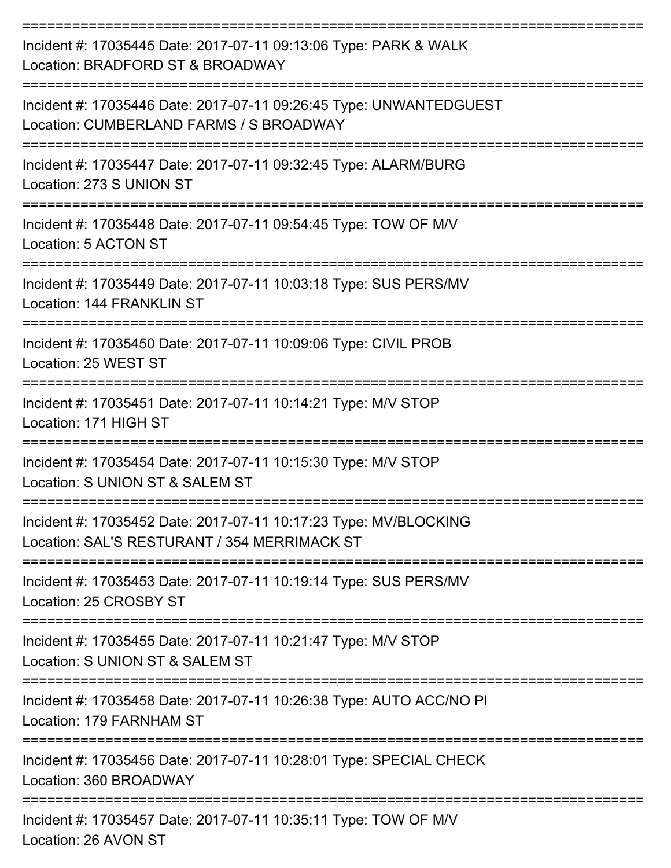| Incident #: 17035445 Date: 2017-07-11 09:13:06 Type: PARK & WALK<br>Location: BRADFORD ST & BROADWAY                        |
|-----------------------------------------------------------------------------------------------------------------------------|
| Incident #: 17035446 Date: 2017-07-11 09:26:45 Type: UNWANTEDGUEST<br>Location: CUMBERLAND FARMS / S BROADWAY               |
| Incident #: 17035447 Date: 2017-07-11 09:32:45 Type: ALARM/BURG<br>Location: 273 S UNION ST                                 |
| Incident #: 17035448 Date: 2017-07-11 09:54:45 Type: TOW OF M/V<br>Location: 5 ACTON ST                                     |
| Incident #: 17035449 Date: 2017-07-11 10:03:18 Type: SUS PERS/MV<br>Location: 144 FRANKLIN ST                               |
| Incident #: 17035450 Date: 2017-07-11 10:09:06 Type: CIVIL PROB<br>Location: 25 WEST ST                                     |
| Incident #: 17035451 Date: 2017-07-11 10:14:21 Type: M/V STOP<br>Location: 171 HIGH ST                                      |
| Incident #: 17035454 Date: 2017-07-11 10:15:30 Type: M/V STOP<br>Location: S UNION ST & SALEM ST                            |
| Incident #: 17035452 Date: 2017-07-11 10:17:23 Type: MV/BLOCKING<br>Location: SAL'S RESTURANT / 354 MERRIMACK ST            |
| Incident #: 17035453 Date: 2017-07-11 10:19:14 Type: SUS PERS/MV<br>Location: 25 CROSBY ST                                  |
| Incident #: 17035455 Date: 2017-07-11 10:21:47 Type: M/V STOP<br>Location: S UNION ST & SALEM ST                            |
| Incident #: 17035458 Date: 2017-07-11 10:26:38 Type: AUTO ACC/NO PI<br>Location: 179 FARNHAM ST                             |
| Incident #: 17035456 Date: 2017-07-11 10:28:01 Type: SPECIAL CHECK<br>Location: 360 BROADWAY                                |
| --------------------------------<br>Incident #: 17035457 Date: 2017-07-11 10:35:11 Type: TOW OF M/V<br>Location: 26 AVON ST |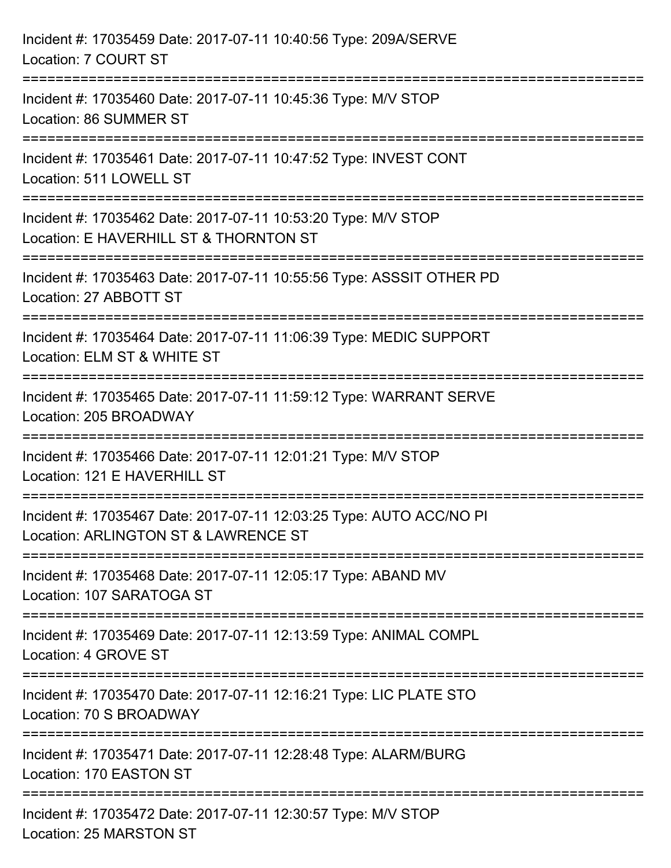| Incident #: 17035459 Date: 2017-07-11 10:40:56 Type: 209A/SERVE<br>Location: 7 COURT ST                                             |
|-------------------------------------------------------------------------------------------------------------------------------------|
| =====================<br>Incident #: 17035460 Date: 2017-07-11 10:45:36 Type: M/V STOP<br>Location: 86 SUMMER ST                    |
| Incident #: 17035461 Date: 2017-07-11 10:47:52 Type: INVEST CONT<br>Location: 511 LOWELL ST                                         |
| Incident #: 17035462 Date: 2017-07-11 10:53:20 Type: M/V STOP<br>Location: E HAVERHILL ST & THORNTON ST                             |
| Incident #: 17035463 Date: 2017-07-11 10:55:56 Type: ASSSIT OTHER PD<br>Location: 27 ABBOTT ST<br>================================= |
| Incident #: 17035464 Date: 2017-07-11 11:06:39 Type: MEDIC SUPPORT<br>Location: ELM ST & WHITE ST                                   |
| Incident #: 17035465 Date: 2017-07-11 11:59:12 Type: WARRANT SERVE<br>Location: 205 BROADWAY                                        |
| Incident #: 17035466 Date: 2017-07-11 12:01:21 Type: M/V STOP<br>Location: 121 E HAVERHILL ST                                       |
| Incident #: 17035467 Date: 2017-07-11 12:03:25 Type: AUTO ACC/NO PI<br>Location: ARLINGTON ST & LAWRENCE ST                         |
| Incident #: 17035468 Date: 2017-07-11 12:05:17 Type: ABAND MV<br>Location: 107 SARATOGA ST                                          |
| Incident #: 17035469 Date: 2017-07-11 12:13:59 Type: ANIMAL COMPL<br>Location: 4 GROVE ST                                           |
| Incident #: 17035470 Date: 2017-07-11 12:16:21 Type: LIC PLATE STO<br>Location: 70 S BROADWAY                                       |
| Incident #: 17035471 Date: 2017-07-11 12:28:48 Type: ALARM/BURG<br>Location: 170 EASTON ST                                          |
| Incident #: 17035472 Date: 2017-07-11 12:30:57 Type: M/V STOP<br>Location: 25 MARSTON ST                                            |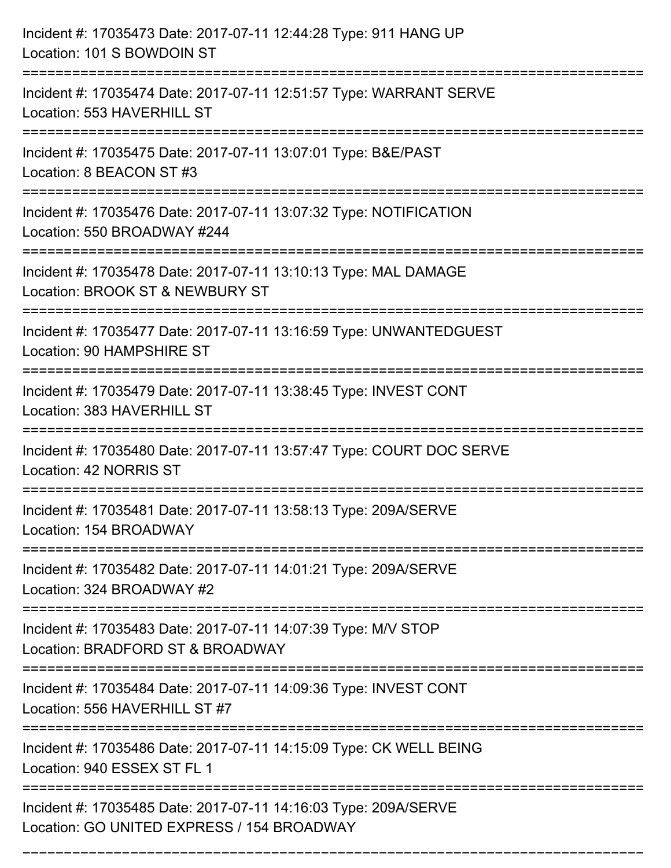| Incident #: 17035473 Date: 2017-07-11 12:44:28 Type: 911 HANG UP<br>Location: 101 S BOWDOIN ST                                        |
|---------------------------------------------------------------------------------------------------------------------------------------|
| Incident #: 17035474 Date: 2017-07-11 12:51:57 Type: WARRANT SERVE<br>Location: 553 HAVERHILL ST                                      |
| Incident #: 17035475 Date: 2017-07-11 13:07:01 Type: B&E/PAST<br>Location: 8 BEACON ST #3<br>:=============================           |
| Incident #: 17035476 Date: 2017-07-11 13:07:32 Type: NOTIFICATION<br>Location: 550 BROADWAY #244                                      |
| Incident #: 17035478 Date: 2017-07-11 13:10:13 Type: MAL DAMAGE<br>Location: BROOK ST & NEWBURY ST                                    |
| Incident #: 17035477 Date: 2017-07-11 13:16:59 Type: UNWANTEDGUEST<br>Location: 90 HAMPSHIRE ST                                       |
| Incident #: 17035479 Date: 2017-07-11 13:38:45 Type: INVEST CONT<br>Location: 383 HAVERHILL ST                                        |
| Incident #: 17035480 Date: 2017-07-11 13:57:47 Type: COURT DOC SERVE<br>Location: 42 NORRIS ST                                        |
| Incident #: 17035481 Date: 2017-07-11 13:58:13 Type: 209A/SERVE<br>Location: 154 BROADWAY                                             |
| Incident #: 17035482 Date: 2017-07-11 14:01:21 Type: 209A/SERVE<br>Location: 324 BROADWAY #2                                          |
| Incident #: 17035483 Date: 2017-07-11 14:07:39 Type: M/V STOP<br>Location: BRADFORD ST & BROADWAY                                     |
| .-------------------------------<br>Incident #: 17035484 Date: 2017-07-11 14:09:36 Type: INVEST CONT<br>Location: 556 HAVERHILL ST #7 |
| Incident #: 17035486 Date: 2017-07-11 14:15:09 Type: CK WELL BEING<br>Location: 940 ESSEX ST FL 1                                     |
| Incident #: 17035485 Date: 2017-07-11 14:16:03 Type: 209A/SERVE<br>Location: GO UNITED EXPRESS / 154 BROADWAY                         |

===========================================================================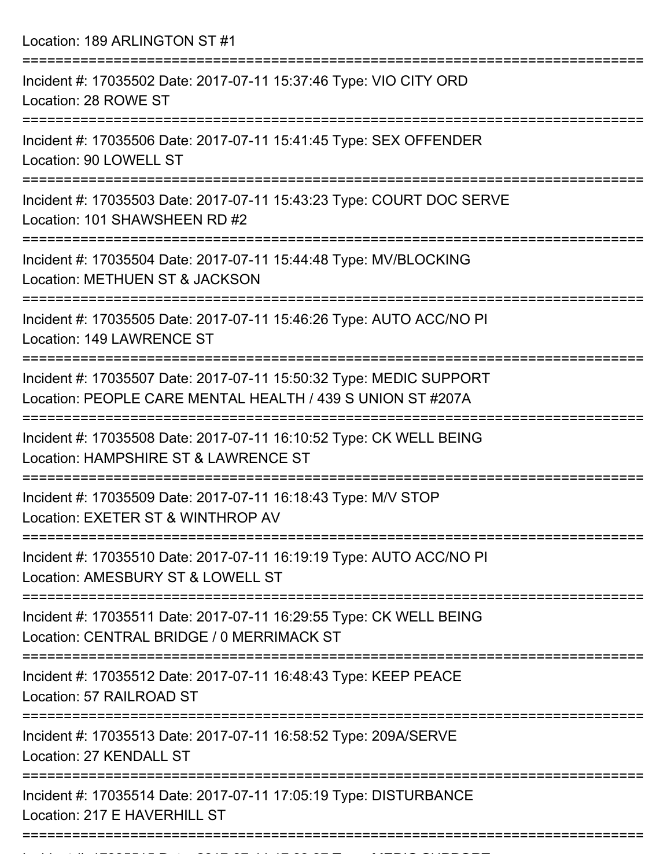Location: 189 ARLINGTON ST #1

| Incident #: 17035502 Date: 2017-07-11 15:37:46 Type: VIO CITY ORD<br>Location: 28 ROWE ST                                        |
|----------------------------------------------------------------------------------------------------------------------------------|
| Incident #: 17035506 Date: 2017-07-11 15:41:45 Type: SEX OFFENDER<br>Location: 90 LOWELL ST                                      |
| Incident #: 17035503 Date: 2017-07-11 15:43:23 Type: COURT DOC SERVE<br>Location: 101 SHAWSHEEN RD #2                            |
| Incident #: 17035504 Date: 2017-07-11 15:44:48 Type: MV/BLOCKING<br>Location: METHUEN ST & JACKSON                               |
| Incident #: 17035505 Date: 2017-07-11 15:46:26 Type: AUTO ACC/NO PI<br><b>Location: 149 LAWRENCE ST</b>                          |
| Incident #: 17035507 Date: 2017-07-11 15:50:32 Type: MEDIC SUPPORT<br>Location: PEOPLE CARE MENTAL HEALTH / 439 S UNION ST #207A |
| Incident #: 17035508 Date: 2017-07-11 16:10:52 Type: CK WELL BEING<br>Location: HAMPSHIRE ST & LAWRENCE ST                       |
| Incident #: 17035509 Date: 2017-07-11 16:18:43 Type: M/V STOP<br>Location: EXETER ST & WINTHROP AV                               |
| Incident #: 17035510 Date: 2017-07-11 16:19:19 Type: AUTO ACC/NO PI<br>Location: AMESBURY ST & LOWELL ST                         |
| Incident #: 17035511 Date: 2017-07-11 16:29:55 Type: CK WELL BEING<br>Location: CENTRAL BRIDGE / 0 MERRIMACK ST                  |
| Incident #: 17035512 Date: 2017-07-11 16:48:43 Type: KEEP PEACE<br>Location: 57 RAILROAD ST                                      |
| Incident #: 17035513 Date: 2017-07-11 16:58:52 Type: 209A/SERVE<br>Location: 27 KENDALL ST                                       |
| Incident #: 17035514 Date: 2017-07-11 17:05:19 Type: DISTURBANCE<br>Location: 217 E HAVERHILL ST                                 |
|                                                                                                                                  |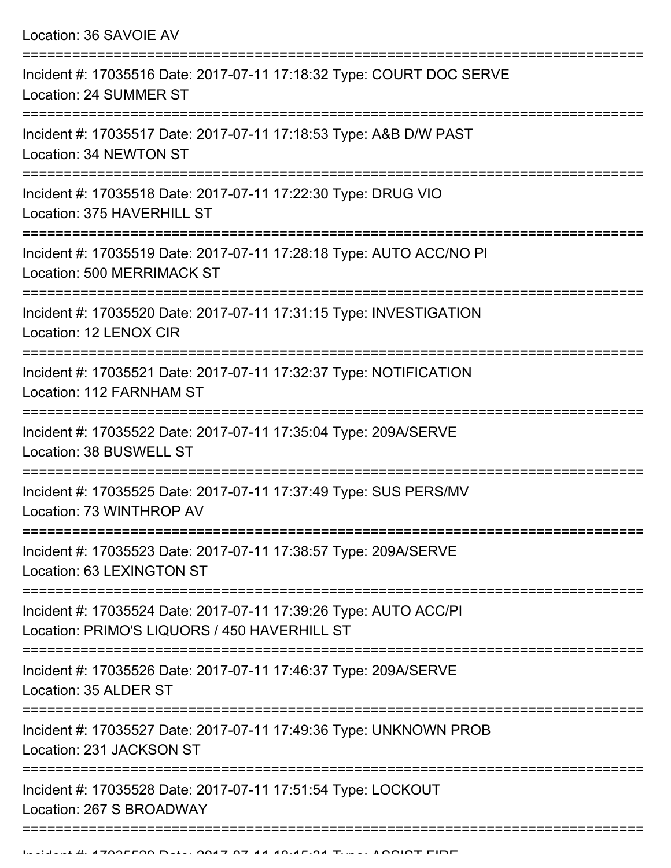| Location: 36 SAVOIE AV                                                                                                  |
|-------------------------------------------------------------------------------------------------------------------------|
| Incident #: 17035516 Date: 2017-07-11 17:18:32 Type: COURT DOC SERVE<br>Location: 24 SUMMER ST                          |
| Incident #: 17035517 Date: 2017-07-11 17:18:53 Type: A&B D/W PAST<br>Location: 34 NEWTON ST                             |
| Incident #: 17035518 Date: 2017-07-11 17:22:30 Type: DRUG VIO<br>Location: 375 HAVERHILL ST                             |
| Incident #: 17035519 Date: 2017-07-11 17:28:18 Type: AUTO ACC/NO PI<br><b>Location: 500 MERRIMACK ST</b>                |
| Incident #: 17035520 Date: 2017-07-11 17:31:15 Type: INVESTIGATION<br>Location: 12 LENOX CIR                            |
| Incident #: 17035521 Date: 2017-07-11 17:32:37 Type: NOTIFICATION<br>Location: 112 FARNHAM ST                           |
| Incident #: 17035522 Date: 2017-07-11 17:35:04 Type: 209A/SERVE<br>Location: 38 BUSWELL ST                              |
| Incident #: 17035525 Date: 2017-07-11 17:37:49 Type: SUS PERS/MV<br>Location: 73 WINTHROP AV                            |
| Incident #: 17035523 Date: 2017-07-11 17:38:57 Type: 209A/SERVE<br>Location: 63 LEXINGTON ST                            |
| Incident #: 17035524 Date: 2017-07-11 17:39:26 Type: AUTO ACC/PI<br>Location: PRIMO'S LIQUORS / 450 HAVERHILL ST        |
| Incident #: 17035526 Date: 2017-07-11 17:46:37 Type: 209A/SERVE<br>Location: 35 ALDER ST                                |
| :=====================<br>Incident #: 17035527 Date: 2017-07-11 17:49:36 Type: UNKNOWN PROB<br>Location: 231 JACKSON ST |
| Incident #: 17035528 Date: 2017-07-11 17:51:54 Type: LOCKOUT<br>Location: 267 S BROADWAY                                |
|                                                                                                                         |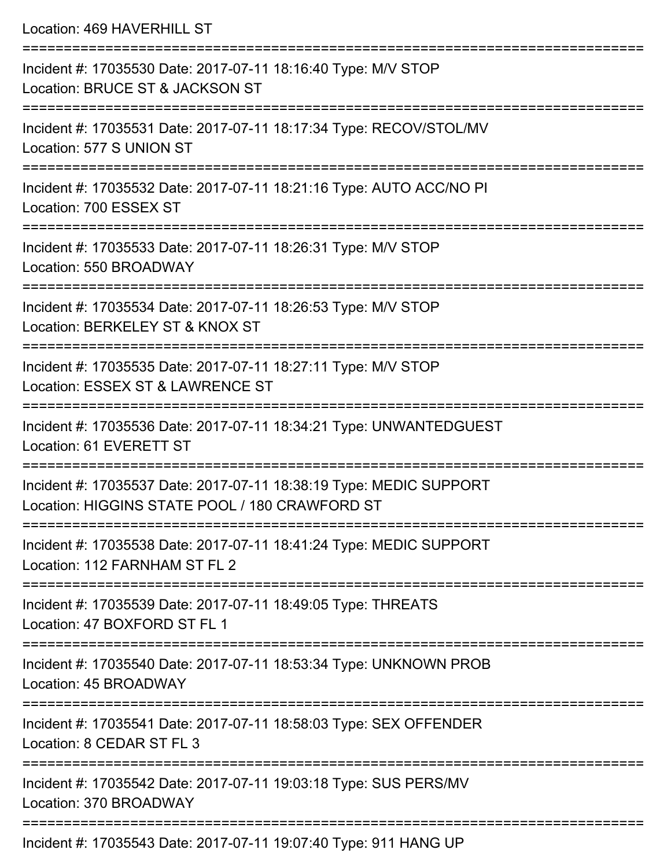Location: 469 HAVERHILL ST =========================================================================== Incident #: 17035530 Date: 2017-07-11 18:16:40 Type: M/V STOP Location: BRUCE ST & JACKSON ST =========================================================================== Incident #: 17035531 Date: 2017-07-11 18:17:34 Type: RECOV/STOL/MV Location: 577 S UNION ST =========================================================================== Incident #: 17035532 Date: 2017-07-11 18:21:16 Type: AUTO ACC/NO PI Location: 700 ESSEX ST =========================================================================== Incident #: 17035533 Date: 2017-07-11 18:26:31 Type: M/V STOP Location: 550 BROADWAY =========================================================================== Incident #: 17035534 Date: 2017-07-11 18:26:53 Type: M/V STOP Location: BERKELEY ST & KNOX ST =========================================================================== Incident #: 17035535 Date: 2017-07-11 18:27:11 Type: M/V STOP Location: ESSEX ST & LAWRENCE ST =========================================================================== Incident #: 17035536 Date: 2017-07-11 18:34:21 Type: UNWANTEDGUEST Location: 61 EVERETT ST =========================================================================== Incident #: 17035537 Date: 2017-07-11 18:38:19 Type: MEDIC SUPPORT Location: HIGGINS STATE POOL / 180 CRAWFORD ST =========================================================================== Incident #: 17035538 Date: 2017-07-11 18:41:24 Type: MEDIC SUPPORT Location: 112 FARNHAM ST FL 2 =========================================================================== Incident #: 17035539 Date: 2017-07-11 18:49:05 Type: THREATS Location: 47 BOXFORD ST FL 1 =========================================================================== Incident #: 17035540 Date: 2017-07-11 18:53:34 Type: UNKNOWN PROB Location: 45 BROADWAY =========================================================================== Incident #: 17035541 Date: 2017-07-11 18:58:03 Type: SEX OFFENDER Location: 8 CEDAR ST FL 3 =========================================================================== Incident #: 17035542 Date: 2017-07-11 19:03:18 Type: SUS PERS/MV

Location: 370 BROADWAY

===========================================================================

Incident #: 17035543 Date: 2017-07-11 19:07:40 Type: 911 HANG UP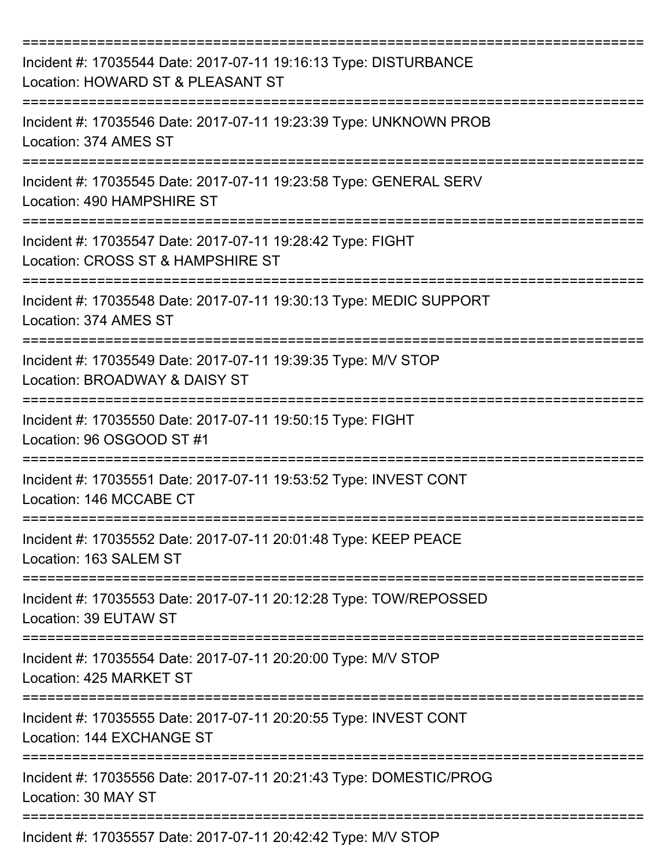| Incident #: 17035544 Date: 2017-07-11 19:16:13 Type: DISTURBANCE<br>Location: HOWARD ST & PLEASANT ST |
|-------------------------------------------------------------------------------------------------------|
| Incident #: 17035546 Date: 2017-07-11 19:23:39 Type: UNKNOWN PROB<br>Location: 374 AMES ST            |
| Incident #: 17035545 Date: 2017-07-11 19:23:58 Type: GENERAL SERV<br>Location: 490 HAMPSHIRE ST       |
| Incident #: 17035547 Date: 2017-07-11 19:28:42 Type: FIGHT<br>Location: CROSS ST & HAMPSHIRE ST       |
| Incident #: 17035548 Date: 2017-07-11 19:30:13 Type: MEDIC SUPPORT<br>Location: 374 AMES ST           |
| Incident #: 17035549 Date: 2017-07-11 19:39:35 Type: M/V STOP<br>Location: BROADWAY & DAISY ST        |
| Incident #: 17035550 Date: 2017-07-11 19:50:15 Type: FIGHT<br>Location: 96 OSGOOD ST #1               |
| Incident #: 17035551 Date: 2017-07-11 19:53:52 Type: INVEST CONT<br>Location: 146 MCCABE CT           |
| Incident #: 17035552 Date: 2017-07-11 20:01:48 Type: KEEP PEACE<br>Location: 163 SALEM ST             |
| Incident #: 17035553 Date: 2017-07-11 20:12:28 Type: TOW/REPOSSED<br>Location: 39 EUTAW ST            |
| Incident #: 17035554 Date: 2017-07-11 20:20:00 Type: M/V STOP<br>Location: 425 MARKET ST              |
| Incident #: 17035555 Date: 2017-07-11 20:20:55 Type: INVEST CONT<br>Location: 144 EXCHANGE ST         |
| Incident #: 17035556 Date: 2017-07-11 20:21:43 Type: DOMESTIC/PROG<br>Location: 30 MAY ST             |
| Incident #: 17035557 Date: 2017-07-11 20:42:42 Type: M/V STOP                                         |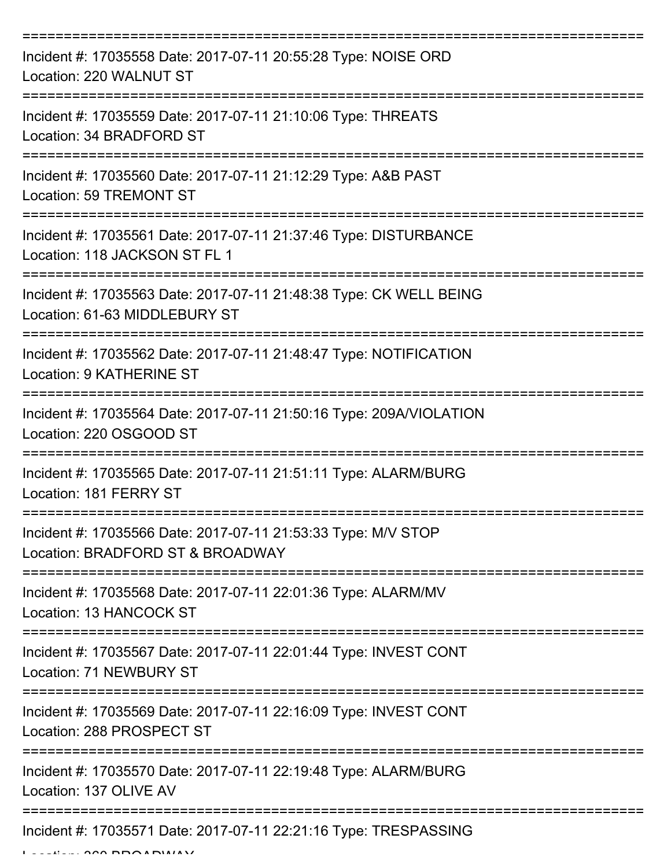| Incident #: 17035558 Date: 2017-07-11 20:55:28 Type: NOISE ORD<br>Location: 220 WALNUT ST                       |
|-----------------------------------------------------------------------------------------------------------------|
| Incident #: 17035559 Date: 2017-07-11 21:10:06 Type: THREATS<br>Location: 34 BRADFORD ST                        |
| Incident #: 17035560 Date: 2017-07-11 21:12:29 Type: A&B PAST<br><b>Location: 59 TREMONT ST</b>                 |
| Incident #: 17035561 Date: 2017-07-11 21:37:46 Type: DISTURBANCE<br>Location: 118 JACKSON ST FL 1               |
| Incident #: 17035563 Date: 2017-07-11 21:48:38 Type: CK WELL BEING<br>Location: 61-63 MIDDLEBURY ST             |
| ==============<br>Incident #: 17035562 Date: 2017-07-11 21:48:47 Type: NOTIFICATION<br>Location: 9 KATHERINE ST |
| Incident #: 17035564 Date: 2017-07-11 21:50:16 Type: 209A/VIOLATION<br>Location: 220 OSGOOD ST                  |
| Incident #: 17035565 Date: 2017-07-11 21:51:11 Type: ALARM/BURG<br>Location: 181 FERRY ST                       |
| Incident #: 17035566 Date: 2017-07-11 21:53:33 Type: M/V STOP<br>Location: BRADFORD ST & BROADWAY               |
| Incident #: 17035568 Date: 2017-07-11 22:01:36 Type: ALARM/MV<br>Location: 13 HANCOCK ST                        |
| Incident #: 17035567 Date: 2017-07-11 22:01:44 Type: INVEST CONT<br>Location: 71 NEWBURY ST                     |
| Incident #: 17035569 Date: 2017-07-11 22:16:09 Type: INVEST CONT<br>Location: 288 PROSPECT ST                   |
| Incident #: 17035570 Date: 2017-07-11 22:19:48 Type: ALARM/BURG<br>Location: 137 OLIVE AV                       |
| Incident #: 17035571 Date: 2017-07-11 22:21:16 Type: TRESPASSING                                                |

 $L = LL$ , 360 BROADWAY